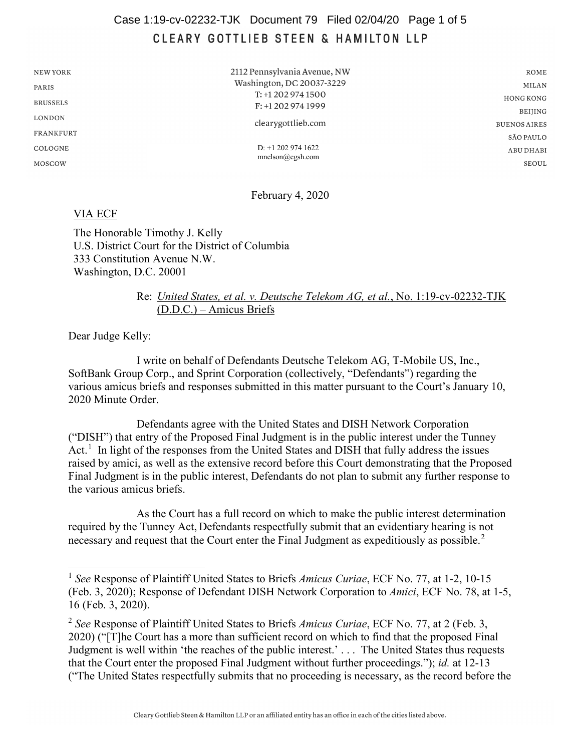## Case 1:19-cv-02232-TJK Document 79 Filed 02/04/20 Page 1 of 5CLEARY GOTTLIEB STEEN & HAMILTON LLP

| NEW YORK        |
|-----------------|
| PARIS           |
| <b>BRUSSELS</b> |
| LONDON          |
| FRANKFURT       |
| COLOGNE         |
| MOSCOW          |

2112 Pennsylvania Avenue, NW Washington, DC 20037-3229 T: +1 202 974 1500 F: +1 202 974 1999 clearygottlieb.com D: +1 202 974 1622 mnelson@cgsh.com

 $\texttt{ROME}$ **MILAN HONG KONG BEIJING BUENOS AIRES** SÃO PAULO ABU DHABI **SEOUL** 

February 4, 2020

## VIA ECF

The Honorable Timothy J. Kelly U.S. District Court for the District of Columbia 333 Constitution Avenue N.W. Washington, D.C. 20001

## Re: *United States, et al. v. Deutsche Telekom AG, et al.*, No. 1:19-cv-02232-TJK (D.D.C.) – Amicus Briefs

Dear Judge Kelly:

I write on behalf of Defendants Deutsche Telekom AG, T-Mobile US, Inc., SoftBank Group Corp., and Sprint Corporation (collectively, "Defendants") regarding the various amicus briefs and responses submitted in this matter pursuant to the Court's January 10, 2020 Minute Order.

Defendants agree with the United States and DISH Network Corporation ("DISH") that entry of the Proposed Final Judgment is in the public interest under the Tunney Act.<sup>[1](#page-0-0)</sup> In light of the responses from the United States and DISH that fully address the issues raised by amici, as well as the extensive record before this Court demonstrating that the Proposed Final Judgment is in the public interest, Defendants do not plan to submit any further response to the various amicus briefs.

As the Court has a full record on which to make the public interest determination required by the Tunney Act, Defendants respectfully submit that an evidentiary hearing is not necessary and request that the Court enter the Final Judgment as expeditiously as possible.<sup>[2](#page-0-1)</sup>

<span id="page-0-0"></span> <sup>1</sup> *See* Response of Plaintiff United States to Briefs *Amicus Curiae*, ECF No. 77, at 1-2, 10-15 (Feb. 3, 2020); Response of Defendant DISH Network Corporation to *Amici*, ECF No. 78, at 1-5, 16 (Feb. 3, 2020).

<span id="page-0-1"></span><sup>2</sup> *See* Response of Plaintiff United States to Briefs *Amicus Curiae*, ECF No. 77, at 2 (Feb. 3, 2020) ("[T]he Court has a more than sufficient record on which to find that the proposed Final Judgment is well within 'the reaches of the public interest.' . . . The United States thus requests that the Court enter the proposed Final Judgment without further proceedings."); *id.* at 12-13 ("The United States respectfully submits that no proceeding is necessary, as the record before the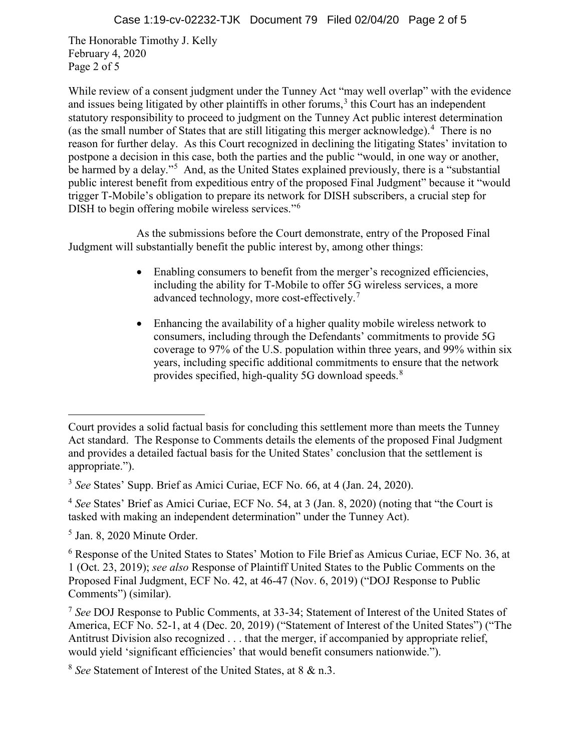The Honorable Timothy J. Kelly February 4, 2020 Page 2 of 5

While review of a consent judgment under the Tunney Act "may well overlap" with the evidence and issues being litigated by other plaintiffs in other forums,  $3$  this Court has an independent statutory responsibility to proceed to judgment on the Tunney Act public interest determination (as the small number of States that are still litigating this merger acknowledge).[4](#page-1-1) There is no reason for further delay. As this Court recognized in declining the litigating States' invitation to postpone a decision in this case, both the parties and the public "would, in one way or another, be harmed by a delay."<sup>[5](#page-1-2)</sup> And, as the United States explained previously, there is a "substantial public interest benefit from expeditious entry of the proposed Final Judgment" because it "would trigger T-Mobile's obligation to prepare its network for DISH subscribers, a crucial step for DISH to begin offering mobile wireless services."<sup>[6](#page-1-3)</sup>

As the submissions before the Court demonstrate, entry of the Proposed Final Judgment will substantially benefit the public interest by, among other things:

- Enabling consumers to benefit from the merger's recognized efficiencies, including the ability for T-Mobile to offer 5G wireless services, a more advanced technology, more cost-effectively. $^7$  $^7$
- Enhancing the availability of a higher quality mobile wireless network to consumers, including through the Defendants' commitments to provide 5G coverage to 97% of the U.S. population within three years, and 99% within six years, including specific additional commitments to ensure that the network provides specified, high-quality 5G download speeds.<sup>[8](#page-1-5)</sup>

 $\overline{a}$ 

Court provides a solid factual basis for concluding this settlement more than meets the Tunney Act standard. The Response to Comments details the elements of the proposed Final Judgment and provides a detailed factual basis for the United States' conclusion that the settlement is appropriate.").

<span id="page-1-0"></span><sup>3</sup> *See* States' Supp. Brief as Amici Curiae, ECF No. 66, at 4 (Jan. 24, 2020).

<span id="page-1-1"></span><sup>4</sup> *See* States' Brief as Amici Curiae, ECF No. 54, at 3 (Jan. 8, 2020) (noting that "the Court is tasked with making an independent determination" under the Tunney Act).

<span id="page-1-2"></span><sup>5</sup> Jan. 8, 2020 Minute Order.

<span id="page-1-3"></span><sup>&</sup>lt;sup>6</sup> Response of the United States to States' Motion to File Brief as Amicus Curiae, ECF No. 36, at 1 (Oct. 23, 2019); *see also* Response of Plaintiff United States to the Public Comments on the Proposed Final Judgment, ECF No. 42, at 46-47 (Nov. 6, 2019) ("DOJ Response to Public Comments") (similar).

<span id="page-1-4"></span><sup>7</sup> *See* DOJ Response to Public Comments, at 33-34; Statement of Interest of the United States of America, ECF No. 52-1, at 4 (Dec. 20, 2019) ("Statement of Interest of the United States") ("The Antitrust Division also recognized . . . that the merger, if accompanied by appropriate relief, would yield 'significant efficiencies' that would benefit consumers nationwide.").

<span id="page-1-5"></span><sup>8</sup> *See* Statement of Interest of the United States, at 8 & n.3.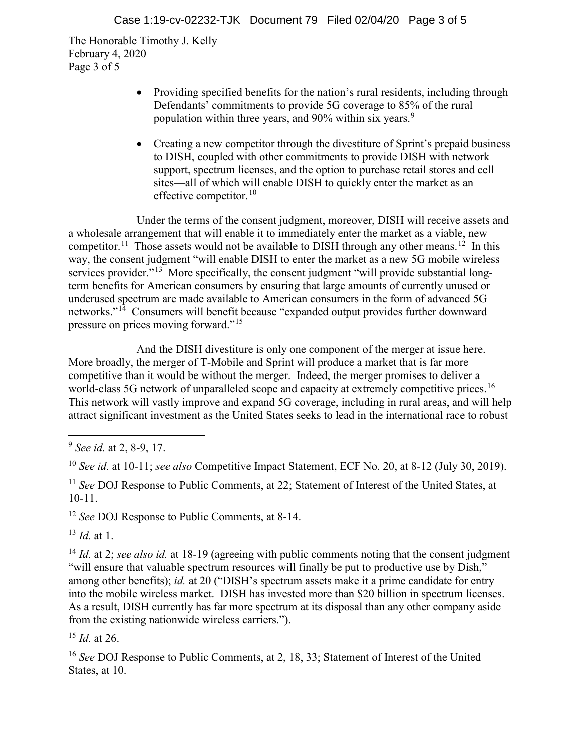The Honorable Timothy J. Kelly February 4, 2020 Page 3 of 5

- Providing specified benefits for the nation's rural residents, including through Defendants' commitments to provide 5G coverage to 85% of the rural population within three years, and [9](#page-2-0)0% within six years.<sup>9</sup>
- Creating a new competitor through the divestiture of Sprint's prepaid business to DISH, coupled with other commitments to provide DISH with network support, spectrum licenses, and the option to purchase retail stores and cell sites—all of which will enable DISH to quickly enter the market as an effective competitor. $10$

Under the terms of the consent judgment, moreover, DISH will receive assets and a wholesale arrangement that will enable it to immediately enter the market as a viable, new competitor.<sup>11</sup> Those assets would not be available to DISH through any other means.<sup>12</sup> In this way, the consent judgment "will enable DISH to enter the market as a new 5G mobile wireless services provider."<sup>[13](#page-2-4)</sup> More specifically, the consent judgment "will provide substantial longterm benefits for American consumers by ensuring that large amounts of currently unused or underused spectrum are made available to American consumers in the form of advanced 5G networks."[14](#page-2-5) Consumers will benefit because "expanded output provides further downward pressure on prices moving forward."[15](#page-2-6)

And the DISH divestiture is only one component of the merger at issue here. More broadly, the merger of T-Mobile and Sprint will produce a market that is far more competitive than it would be without the merger. Indeed, the merger promises to deliver a world-class 5G network of unparalleled scope and capacity at extremely competitive prices.<sup>[16](#page-2-7)</sup> This network will vastly improve and expand 5G coverage, including in rural areas, and will help attract significant investment as the United States seeks to lead in the international race to robust

<span id="page-2-3"></span><sup>12</sup> *See* DOJ Response to Public Comments, at 8-14.

<span id="page-2-4"></span><sup>13</sup> *Id.* at 1.

<span id="page-2-5"></span><sup>14</sup> *Id.* at 2; *see also id.* at 18-19 (agreeing with public comments noting that the consent judgment "will ensure that valuable spectrum resources will finally be put to productive use by Dish," among other benefits); *id.* at 20 ("DISH's spectrum assets make it a prime candidate for entry into the mobile wireless market. DISH has invested more than \$20 billion in spectrum licenses. As a result, DISH currently has far more spectrum at its disposal than any other company aside from the existing nationwide wireless carriers.").

<span id="page-2-6"></span><sup>15</sup> *Id.* at 26.

<span id="page-2-7"></span><sup>16</sup> *See* DOJ Response to Public Comments, at 2, 18, 33; Statement of Interest of the United States, at 10.

<span id="page-2-0"></span> <sup>9</sup> *See id.* at 2, 8-9, 17.

<span id="page-2-1"></span><sup>10</sup> *See id.* at 10-11; *see also* Competitive Impact Statement, ECF No. 20, at 8-12 (July 30, 2019).

<span id="page-2-2"></span><sup>11</sup> *See* DOJ Response to Public Comments, at 22; Statement of Interest of the United States, at 10-11.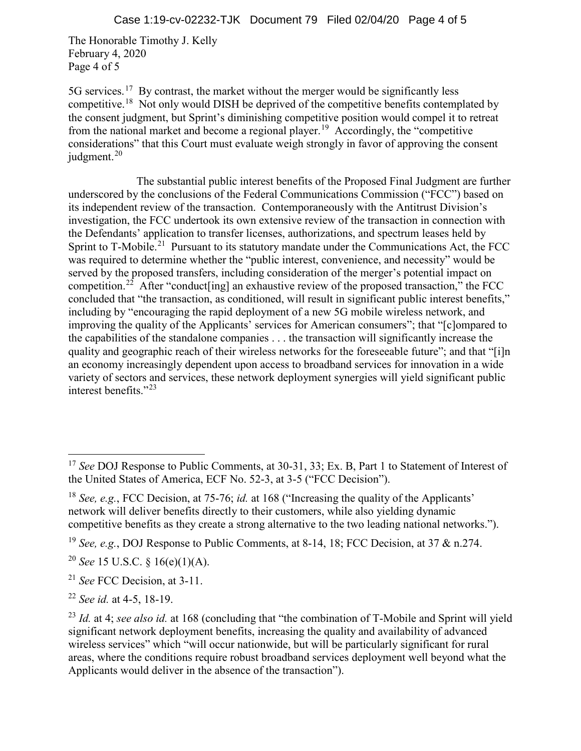The Honorable Timothy J. Kelly February 4, 2020 Page 4 of 5

5G services.<sup>[17](#page-3-0)</sup> By contrast, the market without the merger would be significantly less competitive.[18](#page-3-1) Not only would DISH be deprived of the competitive benefits contemplated by the consent judgment, but Sprint's diminishing competitive position would compel it to retreat from the national market and become a regional player.<sup>19</sup> Accordingly, the "competitive considerations" that this Court must evaluate weigh strongly in favor of approving the consent judgment. [20](#page-3-3)

The substantial public interest benefits of the Proposed Final Judgment are further underscored by the conclusions of the Federal Communications Commission ("FCC") based on its independent review of the transaction. Contemporaneously with the Antitrust Division's investigation, the FCC undertook its own extensive review of the transaction in connection with the Defendants' application to transfer licenses, authorizations, and spectrum leases held by Sprint to T-Mobile.<sup>[21](#page-3-4)</sup> Pursuant to its statutory mandate under the Communications Act, the FCC was required to determine whether the "public interest, convenience, and necessity" would be served by the proposed transfers, including consideration of the merger's potential impact on competition.<sup>[22](#page-3-5)</sup> After "conduct [ing] an exhaustive review of the proposed transaction," the FCC concluded that "the transaction, as conditioned, will result in significant public interest benefits," including by "encouraging the rapid deployment of a new 5G mobile wireless network, and improving the quality of the Applicants' services for American consumers"; that "[c]ompared to the capabilities of the standalone companies . . . the transaction will significantly increase the quality and geographic reach of their wireless networks for the foreseeable future"; and that "[i]n an economy increasingly dependent upon access to broadband services for innovation in a wide variety of sectors and services, these network deployment synergies will yield significant public interest benefits."[23](#page-3-6)

<span id="page-3-3"></span><sup>20</sup> *See* 15 U.S.C. § 16(e)(1)(A).

<span id="page-3-5"></span><sup>22</sup> *See id.* at 4-5, 18-19.

<span id="page-3-0"></span><sup>&</sup>lt;sup>17</sup> See DOJ Response to Public Comments, at 30-31, 33; Ex. B, Part 1 to Statement of Interest of the United States of America, ECF No. 52-3, at 3-5 ("FCC Decision").

<span id="page-3-1"></span><sup>18</sup> *See, e.g.*, FCC Decision, at 75-76; *id.* at 168 ("Increasing the quality of the Applicants' network will deliver benefits directly to their customers, while also yielding dynamic competitive benefits as they create a strong alternative to the two leading national networks.").

<span id="page-3-2"></span><sup>19</sup> *See, e.g.*, DOJ Response to Public Comments, at 8-14, 18; FCC Decision, at 37 & n.274.

<span id="page-3-4"></span><sup>21</sup> *See* FCC Decision, at 3-11.

<span id="page-3-6"></span><sup>23</sup> *Id.* at 4; *see also id.* at 168 (concluding that "the combination of T-Mobile and Sprint will yield significant network deployment benefits, increasing the quality and availability of advanced wireless services" which "will occur nationwide, but will be particularly significant for rural areas, where the conditions require robust broadband services deployment well beyond what the Applicants would deliver in the absence of the transaction").